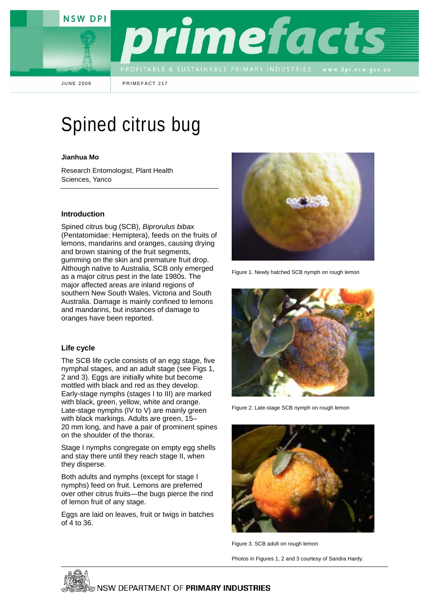**NSW DPI** 



JUNE 2006 PRIMEFACT 217

# Spined citrus bug

#### **Jianhua Mo**

Research Entomologist, Plant Health Sciences, Yanco

#### **Introduction**

Spined citrus bug (SCB), *Biprorulus bibax* (Pentatomidae: Hemiptera), feeds on the fruits of lemons, mandarins and oranges, causing drying and brown staining of the fruit segments, gumming on the skin and premature fruit drop. Although native to Australia, SCB only emerged as a major citrus pest in the late 1980s. The major affected areas are inland regions of southern New South Wales, Victoria and South Australia. Damage is mainly confined to lemons and mandarins, but instances of damage to oranges have been reported.

#### **Life cycle**

The SCB life cycle consists of an egg stage, five nymphal stages, and an adult stage (see Figs 1, 2 and 3). Eggs are initially white but become mottled with black and red as they develop. Early-stage nymphs (stages I to III) are marked with black, green, yellow, white and orange. Late-stage nymphs (IV to V) are mainly green with black markings. Adults are green, 15– 20 mm long, and have a pair of prominent spines on the shoulder of the thorax.

Stage I nymphs congregate on empty egg shells and stay there until they reach stage II, when they disperse.

Both adults and nymphs (except for stage I nymphs) feed on fruit. Lemons are preferred over other citrus fruits—the bugs pierce the rind of lemon fruit of any stage.

Eggs are laid on leaves, fruit or twigs in batches of 4 to 36.



Figure 1. Newly hatched SCB nymph on rough lemon



Figure 2. Late-stage SCB nymph on rough lemon



Figure 3. SCB adult on rough lemon

Photos in Figures 1, 2 and 3 courtesy of Sandra Hardy.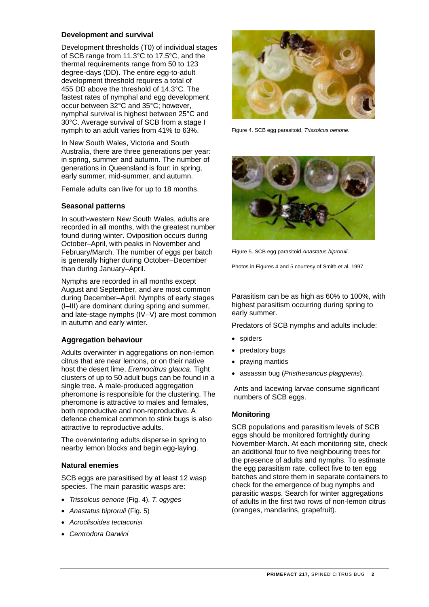# **Development and survival**

Development thresholds (T0) of individual stages of SCB range from 11.3°C to 17.5°C, and the thermal requirements range from 50 to 123 degree-days (DD). The entire egg-to-adult development threshold requires a total of 455 DD above the threshold of 14.3°C. The fastest rates of nymphal and egg development occur between 32°C and 35°C; however, nymphal survival is highest between 25°C and 30°C. Average survival of SCB from a stage I nymph to an adult varies from 41% to 63%.

In New South Wales, Victoria and South Australia, there are three generations per year: in spring, summer and autumn. The number of generations in Queensland is four: in spring, early summer, mid-summer, and autumn.

Female adults can live for up to 18 months.

# **Seasonal patterns**

In south-western New South Wales, adults are recorded in all months, with the greatest number found during winter. Oviposition occurs during October–April, with peaks in November and February/March. The number of eggs per batch is generally higher during October–December than during January–April.

Nymphs are recorded in all months except August and September, and are most common during December–April. Nymphs of early stages (I–III) are dominant during spring and summer, and late-stage nymphs (IV–V) are most common in autumn and early winter.

# **Aggregation behaviour**

Adults overwinter in aggregations on non-lemon citrus that are near lemons, or on their native host the desert lime, *Eremocitrus glauca*. Tight clusters of up to 50 adult bugs can be found in a single tree. A male-produced aggregation pheromone is responsible for the clustering. The pheromone is attractive to males and females, both reproductive and non-reproductive. A defence chemical common to stink bugs is also attractive to reproductive adults.

The overwintering adults disperse in spring to nearby lemon blocks and begin egg-laying.

# **Natural enemies**

SCB eggs are parasitised by at least 12 wasp species. The main parasitic wasps are:

- *Trissolcus oenone* (Fig. 4), *T. ogyges*
- *Anastatus biproruli* (Fig. 5)
- *Acroclisoides tectacorisi*
- *Centrodora Darwini*



Figure 4. SCB egg parasitoid, *Trissolcus oenone*.



Figure 5. SCB egg parasitoid *Anastatus biproruli*.

Photos in Figures 4 and 5 courtesy of Smith et al. 1997.

Parasitism can be as high as 60% to 100%, with highest parasitism occurring during spring to early summer.

Predators of SCB nymphs and adults include:

- spiders
- predatory bugs
- praying mantids
- assassin bug (*Pristhesancus plagipenis*).

Ants and lacewing larvae consume significant numbers of SCB eggs.

# **Monitoring**

SCB populations and parasitism levels of SCB eggs should be monitored fortnightly during November-March. At each monitoring site, check an additional four to five neighbouring trees for the presence of adults and nymphs. To estimate the egg parasitism rate, collect five to ten egg batches and store them in separate containers to check for the emergence of bug nymphs and parasitic wasps. Search for winter aggregations of adults in the first two rows of non-lemon citrus (oranges, mandarins, grapefruit).